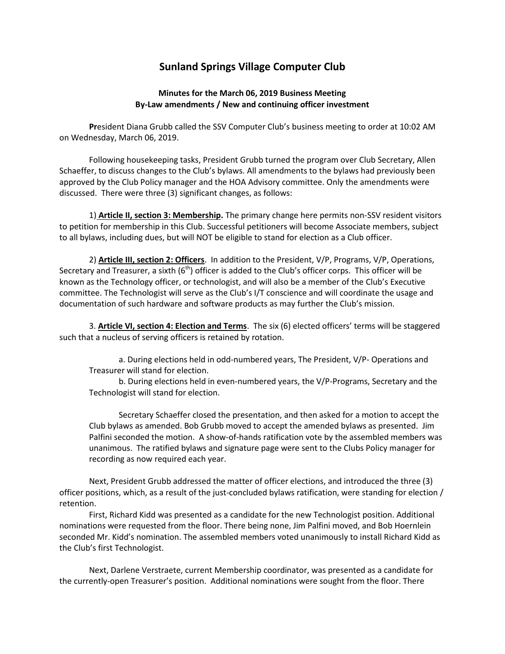## **Sunland Springs Village Computer Club**

## **Minutes for the March 06, 2019 Business Meeting By-Law amendments / New and continuing officer investment**

**Pr**esident Diana Grubb called the SSV Computer Club's business meeting to order at 10:02 AM on Wednesday, March 06, 2019.

Following housekeeping tasks, President Grubb turned the program over Club Secretary, Allen Schaeffer, to discuss changes to the Club's bylaws. All amendments to the bylaws had previously been approved by the Club Policy manager and the HOA Advisory committee. Only the amendments were discussed. There were three (3) significant changes, as follows:

1) **Article II, section 3: Membership.** The primary change here permits non-SSV resident visitors to petition for membership in this Club. Successful petitioners will become Associate members, subject to all bylaws, including dues, but will NOT be eligible to stand for election as a Club officer.

2) **Article III, section 2: Officers**. In addition to the President, V/P, Programs, V/P, Operations, Secretary and Treasurer, a sixth  $(6<sup>th</sup>)$  officer is added to the Club's officer corps. This officer will be known as the Technology officer, or technologist, and will also be a member of the Club's Executive committee. The Technologist will serve as the Club's I/T conscience and will coordinate the usage and documentation of such hardware and software products as may further the Club's mission.

3. **Article VI, section 4: Election and Terms**. The six (6) elected officers' terms will be staggered such that a nucleus of serving officers is retained by rotation.

a. During elections held in odd-numbered years, The President, V/P- Operations and Treasurer will stand for election.

b. During elections held in even-numbered years, the V/P-Programs, Secretary and the Technologist will stand for election.

Secretary Schaeffer closed the presentation, and then asked for a motion to accept the Club bylaws as amended. Bob Grubb moved to accept the amended bylaws as presented. Jim Palfini seconded the motion. A show-of-hands ratification vote by the assembled members was unanimous. The ratified bylaws and signature page were sent to the Clubs Policy manager for recording as now required each year.

Next, President Grubb addressed the matter of officer elections, and introduced the three (3) officer positions, which, as a result of the just-concluded bylaws ratification, were standing for election / retention.

First, Richard Kidd was presented as a candidate for the new Technologist position. Additional nominations were requested from the floor. There being none, Jim Palfini moved, and Bob Hoernlein seconded Mr. Kidd's nomination. The assembled members voted unanimously to install Richard Kidd as the Club's first Technologist.

Next, Darlene Verstraete, current Membership coordinator, was presented as a candidate for the currently-open Treasurer's position. Additional nominations were sought from the floor. There